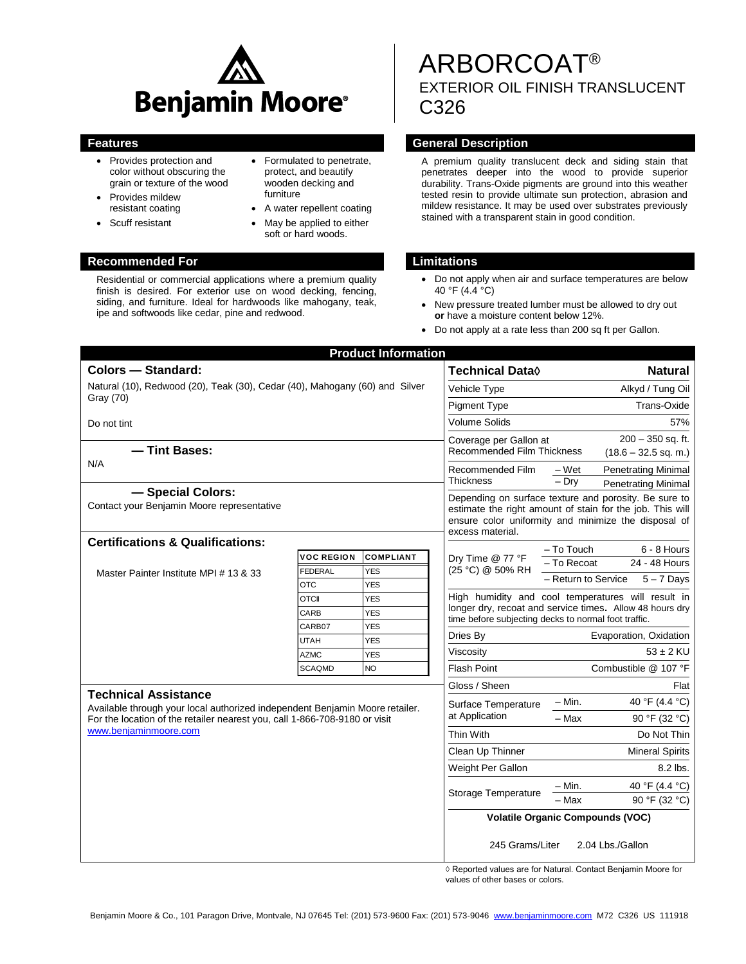

- Provides protection and color without obscuring the grain or texture of the wood
- Provides mildew resistant coating
- Scuff resistant
- Formulated to penetrate, protect, and beautify wooden decking and furniture
- A water repellent coating
- May be applied to either soft or hard woods.

## **Recommended For Limitations**

Residential or commercial applications where a premium quality finish is desired. For exterior use on wood decking, fencing, siding, and furniture. Ideal for hardwoods like mahogany, teak, ipe and softwoods like cedar, pine and redwood.

# ARBORCOAT® EXTERIOR OIL FINISH TRANSLUCENT C326

#### **Features General Description**

A premium quality translucent deck and siding stain that penetrates deeper into the wood to provide superior durability. Trans-Oxide pigments are ground into this weather tested resin to provide ultimate sun protection, abrasion and mildew resistance. It may be used over substrates previously stained with a transparent stain in good condition.

- Do not apply when air and surface temperatures are below 40 °F (4.4 °C)
- New pressure treated lumber must be allowed to dry out **or** have a moisture content below 12%.
- Do not apply at a rate less than 200 sq ft per Gallon.

|                                                                                                                                                                                     |                       | <b>Product Information</b> |                                                                                                                                                                                                |                                                          |  |
|-------------------------------------------------------------------------------------------------------------------------------------------------------------------------------------|-----------------------|----------------------------|------------------------------------------------------------------------------------------------------------------------------------------------------------------------------------------------|----------------------------------------------------------|--|
| <b>Colors - Standard:</b>                                                                                                                                                           |                       |                            | <b>Technical Data</b> ♦                                                                                                                                                                        | <b>Natural</b>                                           |  |
| Natural (10), Redwood (20), Teak (30), Cedar (40), Mahogany (60) and Silver                                                                                                         |                       |                            | Vehicle Type                                                                                                                                                                                   | Alkyd / Tung Oil                                         |  |
| Gray (70)                                                                                                                                                                           |                       |                            | <b>Pigment Type</b>                                                                                                                                                                            | Trans-Oxide                                              |  |
| Do not tint                                                                                                                                                                         |                       |                            | <b>Volume Solids</b>                                                                                                                                                                           | 57%                                                      |  |
|                                                                                                                                                                                     |                       |                            | $200 - 350$ sq. ft.<br>Coverage per Gallon at                                                                                                                                                  |                                                          |  |
| - Tint Bases:                                                                                                                                                                       |                       |                            | <b>Recommended Film Thickness</b><br>$(18.6 - 32.5$ sq. m.)                                                                                                                                    |                                                          |  |
| N/A                                                                                                                                                                                 |                       |                            | Recommended Film<br><b>Thickness</b>                                                                                                                                                           | <b>Penetrating Minimal</b><br>– Wet                      |  |
|                                                                                                                                                                                     |                       |                            |                                                                                                                                                                                                | – Dry<br><b>Penetrating Minimal</b>                      |  |
| - Special Colors:<br>Contact your Benjamin Moore representative                                                                                                                     |                       |                            | Depending on surface texture and porosity. Be sure to<br>estimate the right amount of stain for the job. This will<br>ensure color uniformity and minimize the disposal of<br>excess material. |                                                          |  |
| <b>Certifications &amp; Qualifications:</b>                                                                                                                                         |                       |                            | – To Touch<br>6 - 8 Hours                                                                                                                                                                      |                                                          |  |
| Master Painter Institute MPI # 13 & 33                                                                                                                                              | <b>VOC REGION</b>     | <b>COMPLIANT</b>           | Dry Time @ 77 °F<br>(25 °C) @ 50% RH                                                                                                                                                           | - To Recoat<br>24 - 48 Hours                             |  |
|                                                                                                                                                                                     | <b>FEDERAL</b><br>OTC | <b>YES</b><br><b>YES</b>   |                                                                                                                                                                                                | - Return to Service<br>$5 - 7$ Days                      |  |
|                                                                                                                                                                                     | <b>OTCII</b>          | <b>YES</b>                 | High humidity and cool temperatures will result in                                                                                                                                             |                                                          |  |
|                                                                                                                                                                                     | CARB                  | <b>YES</b>                 |                                                                                                                                                                                                | longer dry, recoat and service times. Allow 48 hours dry |  |
|                                                                                                                                                                                     | CARB07                | <b>YES</b>                 | time before subjecting decks to normal foot traffic.                                                                                                                                           |                                                          |  |
|                                                                                                                                                                                     | UTAH                  | <b>YES</b>                 | Dries By                                                                                                                                                                                       | Evaporation, Oxidation                                   |  |
|                                                                                                                                                                                     | <b>AZMC</b>           | <b>YES</b>                 | Viscosity                                                                                                                                                                                      | $53 \pm 2$ KU                                            |  |
|                                                                                                                                                                                     | <b>SCAQMD</b>         | <b>NO</b>                  | <b>Flash Point</b>                                                                                                                                                                             | Combustible @ 107 °F                                     |  |
| <b>Technical Assistance</b>                                                                                                                                                         |                       |                            | Gloss / Sheen                                                                                                                                                                                  | Flat                                                     |  |
| Available through your local authorized independent Benjamin Moore retailer.<br>For the location of the retailer nearest you, call 1-866-708-9180 or visit<br>www.benjaminmoore.com |                       |                            | Surface Temperature<br>at Application                                                                                                                                                          | 40 °F (4.4 °C)<br>– Min.                                 |  |
|                                                                                                                                                                                     |                       |                            |                                                                                                                                                                                                | - Max<br>90 °F (32 °C)                                   |  |
|                                                                                                                                                                                     |                       |                            | <b>Thin With</b>                                                                                                                                                                               | Do Not Thin                                              |  |
|                                                                                                                                                                                     |                       |                            | Clean Up Thinner                                                                                                                                                                               | <b>Mineral Spirits</b>                                   |  |
|                                                                                                                                                                                     |                       |                            | Weight Per Gallon                                                                                                                                                                              | 8.2 lbs.                                                 |  |
|                                                                                                                                                                                     |                       |                            | Storage Temperature                                                                                                                                                                            | $-$ Min.<br>40 °F (4.4 °C)                               |  |
|                                                                                                                                                                                     |                       |                            |                                                                                                                                                                                                | - Max<br>90 °F (32 °C)                                   |  |
|                                                                                                                                                                                     |                       |                            | <b>Volatile Organic Compounds (VOC)</b>                                                                                                                                                        |                                                          |  |
|                                                                                                                                                                                     |                       |                            | 245 Grams/Liter<br>2.04 Lbs./Gallon                                                                                                                                                            |                                                          |  |

 ◊ Reported values are for Natural. Contact Benjamin Moore for values of other bases or colors.